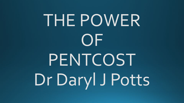# THE POWER OF PENTCOST Dr Daryl J Potts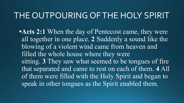#### THE OUTPOURING OF THE HOLY SPIRIT

**•Acts 2:1** When the day of Pentecost came, they were all together in one place. **2** Suddenly a sound like the blowing of a violent wind came from heaven and filled the whole house where they were sitting. **3** They saw what seemed to be tongues of fire that separated and came to rest on each of them. **4** All of them were filled with the Holy Spirit and began to speak in other tongues as the Spirit enabled them.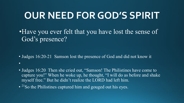# **OUR NEED FOR GOD'S SPIRIT**

•Have you ever felt that you have lost the sense of God's presence?

• Judges 16:20-21 Samson lost the presence of God and did not know it

• Judges  $16:20$  Then she cried out, "Samson! The Philistines have come to capture you!" When he woke up, he thought, "I will do as before and shake myself free." But he didn't realize the LORD had left him.

• <sup>21</sup>So the Philistines captured him and gouged out his eyes.

•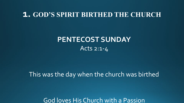#### **1. GOD'S SPIRIT BIRTHED THE CHURCH**

#### **PENTECOST SUNDAY** Acts 2:1-4

This was the day when the church was birthed

God loves His Church with a Passion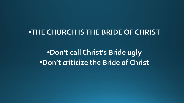#### **•THE CHURCH IS THE BRIDE OF CHRIST**

**•Don't call Christ's Bride ugly •Don't criticize the Bride of Christ**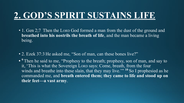## **2. GOD'S SPIRIT SUSTAINS LIFE**

- 1. Gen 2;7 Then the Lorp God formed a man from the dust of the ground and **breathed into his nostrils the breath of life**, and the man became a living being.
- 2. Ezek 37:3 He asked me, "Son of man, can these bones live?"
- **• <sup>9</sup>**Then he said to me, "Prophesy to the breath; prophesy, son of man, and say to it, 'This is what the Sovereign LORD says: Come, breath, from the four winds and breathe into these slain, that they may live."<sup>10</sup> So I prophesied as he commanded me, and **breath entered them; they came to life and stood up on their feet—a vast army**.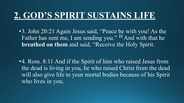## **2. GOD'S SPIRIT SUSTAINS LIFE**

•3. John 20:21 Again Jesus said, "Peace be with you! As the Father has sent me, I am sending you."<sup>22</sup> And with that he **breathed on them** and said, "Receive the Holy Spirit.

•4. Rom. 8:11 And if the Spirit of him who raised Jesus from the dead is living in you, he who raised Christ from the dead will also give life to your mortal bodies because of his Spirit who lives in you.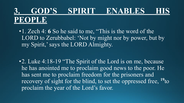•1. Zech 4: **6** So he said to me, "This is the word of the LORD to Zerubbabel: 'Not by might nor by power, but by my Spirit,' says the LORD Almighty.

•2. Luke 4:18-19 "The Spirit of the Lord is on me, because he has anointed me to proclaim good news to the poor. He has sent me to proclaim freedom for the prisoners and recovery of sight for the blind, to set the oppressed free, **<sup>19</sup>**to proclaim the year of the Lord's favor.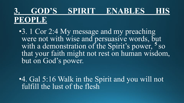•3. 1 Cor 2:4 My message and my preaching were not with wise and persuasive words, but with a demonstration of the Spirit's power, **<sup>5</sup>**so that your faith might not rest on human wisdom, but on God's power.

•4. Gal 5:16 Walk in the Spirit and you will not fulfill the lust of the flesh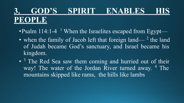- Psalm 114:1-4<sup>1</sup> When the Israelites escaped from Egypt—
- when the family of Jacob left that foreign land— $^2$  the land of Judah became God's sanctuary, and Israel became his kingdom.
- •<sup>3</sup> The Red Sea saw them coming and hurried out of their way! The water of the Jordan River turned away. <sup>4</sup> The mountains skipped like rams, the hills like lambs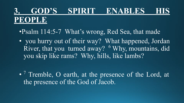•Psalm 114:5-7 What's wrong, Red Sea, that made

• you hurry out of their way? What happened, Jordan River, that you turned away? <sup>6</sup> Why, mountains, did you skip like rams? Why, hills, like lambs?

• <sup>7</sup> Tremble, O earth, at the presence of the Lord, at the presence of the God of Jacob.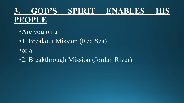#### **3. GOD'S SPIRIT ENABLES HIS PEOPLE**

•Are you on a •1. Breakout Mission (Red Sea) •or a

•2. Breakthrough Mission (Jordan River)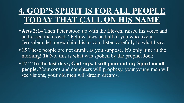#### **4. GOD'S SPIRIT IS FOR ALL PEOPLE TODAY THAT CALL ON HIS NAME**

- **Acts 2:14** Then Peter stood up with the Eleven, raised his voice and addressed the crowd: "Fellow Jews and all of you who live in Jerusalem, let me explain this to you; listen carefully to what I say.
- **• 15** These people are not drunk, as you suppose. It's only nine in the morning! **16** No, this is what was spoken by the prophet Joel:
- **• 17** " '**In the last days, God says, I will pour out my Spirit on all people.** Your sons and daughters will prophesy, your young men will see visions, your old men will dream dreams.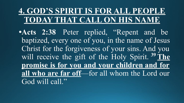#### **4. GOD'S SPIRIT IS FOR ALL PEOPLE TODAY THAT CALL ON HIS NAME**

**•Acts 2:38** Peter replied, "Repent and be baptized, every one of you, in the name of Jesus Christ for the forgiveness of your sins. And you will receive the gift of the Holy Spirit. **39 The promise is for you and your children and for all who are far off**—for all whom the Lord our God will call."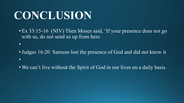# **CONCLUSION**

•

• Ex 33:15-16 (NIV) Then Moses said, 'If your presence does not go with us, do not send us up from here.

• Judges 16:20 Samson lost the presence of God and did not know it •

• We can't live without the Spirit of God in our lives on a daily basis.